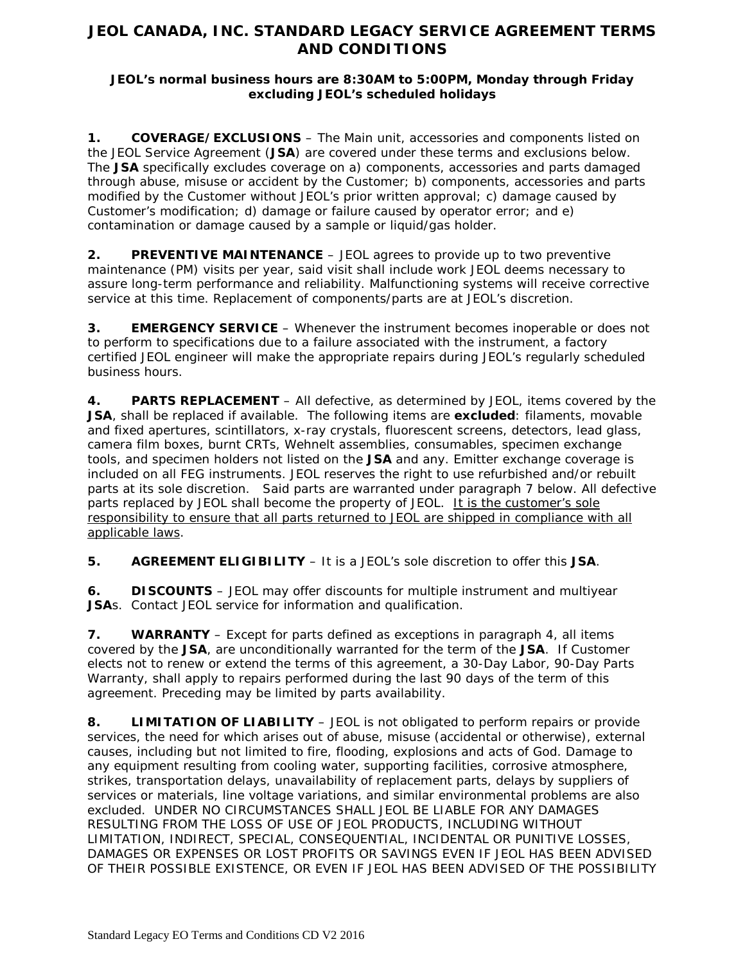# **JEOL CANADA, INC. STANDARD LEGACY SERVICE AGREEMENT TERMS AND CONDITIONS**

### **JEOL's normal business hours are 8:30AM to 5:00PM, Monday through Friday excluding JEOL's scheduled holidays**

**1. COVERAGE/EXCLUSIONS** – The Main unit, accessories and components listed on the JEOL Service Agreement (**JSA**) are covered under these terms and exclusions below. The **JSA** specifically excludes coverage on a) components, accessories and parts damaged through abuse, misuse or accident by the Customer; b) components, accessories and parts modified by the Customer without JEOL's prior written approval; c) damage caused by Customer's modification; d) damage or failure caused by operator error; and e) contamination or damage caused by a sample or liquid/gas holder.

**2. PREVENTIVE MAINTENANCE** – JEOL agrees to provide up to two preventive maintenance (PM) visits per year, said visit shall include work JEOL deems necessary to assure long-term performance and reliability. Malfunctioning systems will receive corrective service at this time. Replacement of components/parts are at JEOL's discretion.

**3. EMERGENCY SERVICE** – Whenever the instrument becomes inoperable or does not to perform to specifications due to a failure associated with the instrument, a factory certified JEOL engineer will make the appropriate repairs during JEOL's regularly scheduled business hours.

**4. PARTS REPLACEMENT** – All defective, as determined by JEOL, items covered by the **JSA**, shall be replaced if available. The following items are **excluded**: filaments, movable and fixed apertures, scintillators, x-ray crystals, fluorescent screens, detectors, lead glass, camera film boxes, burnt CRTs, Wehnelt assemblies, consumables, specimen exchange tools, and specimen holders not listed on the **JSA** and any. Emitter exchange coverage is included on all FEG instruments. JEOL reserves the right to use refurbished and/or rebuilt parts at its sole discretion. Said parts are warranted under paragraph 7 below. All defective parts replaced by JEOL shall become the property of JEOL. It is the customer's sole responsibility to ensure that all parts returned to JEOL are shipped in compliance with all applicable laws.

**5. AGREEMENT ELIGIBILITY** – It is a JEOL's sole discretion to offer this **JSA**.

**6. DISCOUNTS** – JEOL may offer discounts for multiple instrument and multiyear **JSA**s. Contact JEOL service for information and qualification.

**7. WARRANTY** – Except for parts defined as exceptions in paragraph 4, all items covered by the **JSA**, are unconditionally warranted for the term of the **JSA**. If Customer elects not to renew or extend the terms of this agreement, a 30-Day Labor, 90-Day Parts Warranty, shall apply to repairs performed during the last 90 days of the term of this agreement. Preceding may be limited by parts availability.

**8. LIMITATION OF LIABILITY** – JEOL is not obligated to perform repairs or provide services, the need for which arises out of abuse, misuse (accidental or otherwise), external causes, including but not limited to fire, flooding, explosions and acts of God. Damage to any equipment resulting from cooling water, supporting facilities, corrosive atmosphere, strikes, transportation delays, unavailability of replacement parts, delays by suppliers of services or materials, line voltage variations, and similar environmental problems are also excluded. UNDER NO CIRCUMSTANCES SHALL JEOL BE LIABLE FOR ANY DAMAGES RESULTING FROM THE LOSS OF USE OF JEOL PRODUCTS, INCLUDING WITHOUT LIMITATION, INDIRECT, SPECIAL, CONSEQUENTIAL, INCIDENTAL OR PUNITIVE LOSSES, DAMAGES OR EXPENSES OR LOST PROFITS OR SAVINGS EVEN IF JEOL HAS BEEN ADVISED OF THEIR POSSIBLE EXISTENCE, OR EVEN IF JEOL HAS BEEN ADVISED OF THE POSSIBILITY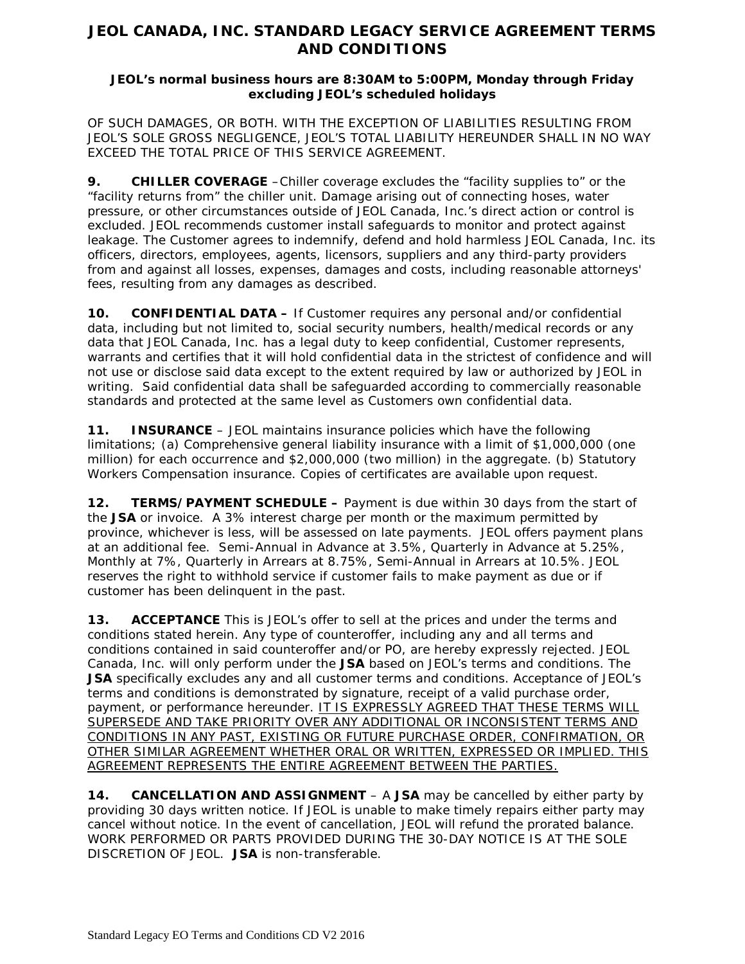# **JEOL CANADA, INC. STANDARD LEGACY SERVICE AGREEMENT TERMS AND CONDITIONS**

### **JEOL's normal business hours are 8:30AM to 5:00PM, Monday through Friday excluding JEOL's scheduled holidays**

OF SUCH DAMAGES, OR BOTH. WITH THE EXCEPTION OF LIABILITIES RESULTING FROM JEOL'S SOLE GROSS NEGLIGENCE, JEOL'S TOTAL LIABILITY HEREUNDER SHALL IN NO WAY EXCEED THE TOTAL PRICE OF THIS SERVICE AGREEMENT.

**9. CHILLER COVERAGE** –Chiller coverage excludes the "facility supplies to" or the "facility returns from" the chiller unit. Damage arising out of connecting hoses, water pressure, or other circumstances outside of JEOL Canada, Inc.'s direct action or control is excluded. JEOL recommends customer install safeguards to monitor and protect against leakage. The Customer agrees to indemnify, defend and hold harmless JEOL Canada, Inc. its officers, directors, employees, agents, licensors, suppliers and any third-party providers from and against all losses, expenses, damages and costs, including reasonable attorneys' fees, resulting from any damages as described.

**10. CONFIDENTIAL DATA –** If Customer requires any personal and/or confidential data, including but not limited to, social security numbers, health/medical records or any data that JEOL Canada, Inc. has a legal duty to keep confidential, Customer represents, warrants and certifies that it will hold confidential data in the strictest of confidence and will not use or disclose said data except to the extent required by law or authorized by JEOL in writing. Said confidential data shall be safeguarded according to commercially reasonable standards and protected at the same level as Customers own confidential data.

**11. INSURANCE** – JEOL maintains insurance policies which have the following limitations; (a) Comprehensive general liability insurance with a limit of \$1,000,000 (one million) for each occurrence and \$2,000,000 (two million) in the aggregate. (b) Statutory Workers Compensation insurance. Copies of certificates are available upon request.

**12. TERMS/PAYMENT SCHEDULE –** Payment is due within 30 days from the start of the **JSA** or invoice. A 3% interest charge per month or the maximum permitted by province, whichever is less, will be assessed on late payments. JEOL offers payment plans at an additional fee. Semi-Annual in Advance at 3.5%, Quarterly in Advance at 5.25%, Monthly at 7%, Quarterly in Arrears at 8.75%, Semi-Annual in Arrears at 10.5%. JEOL reserves the right to withhold service if customer fails to make payment as due or if customer has been delinquent in the past.

**13. ACCEPTANCE** This is JEOL's offer to sell at the prices and under the terms and conditions stated herein. Any type of counteroffer, including any and all terms and conditions contained in said counteroffer and/or PO, are hereby expressly rejected. JEOL Canada, Inc. will only perform under the **JSA** based on JEOL's terms and conditions. The **JSA** specifically excludes any and all customer terms and conditions. Acceptance of JEOL's terms and conditions is demonstrated by signature, receipt of a valid purchase order, payment, or performance hereunder. IT IS EXPRESSLY AGREED THAT THESE TERMS WILL SUPERSEDE AND TAKE PRIORITY OVER ANY ADDITIONAL OR INCONSISTENT TERMS AND CONDITIONS IN ANY PAST, EXISTING OR FUTURE PURCHASE ORDER, CONFIRMATION, OR OTHER SIMILAR AGREEMENT WHETHER ORAL OR WRITTEN, EXPRESSED OR IMPLIED. THIS AGREEMENT REPRESENTS THE ENTIRE AGREEMENT BETWEEN THE PARTIES.

**14. CANCELLATION AND ASSIGNMENT** – A **JSA** may be cancelled by either party by providing 30 days written notice. If JEOL is unable to make timely repairs either party may cancel without notice. In the event of cancellation, JEOL will refund the prorated balance. WORK PERFORMED OR PARTS PROVIDED DURING THE 30-DAY NOTICE IS AT THE SOLE DISCRETION OF JEOL. **JSA** is non-transferable.